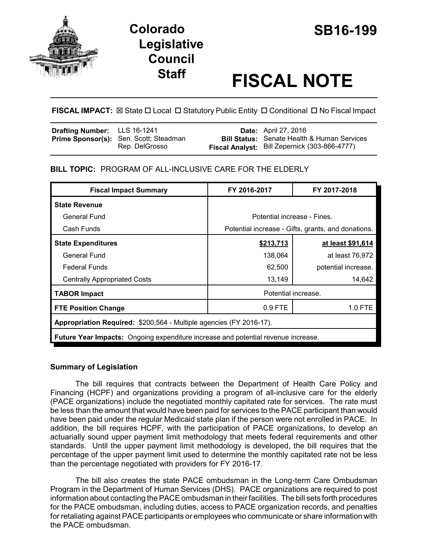



# **Staff FISCAL NOTE**

# **FISCAL IMPACT:**  $\boxtimes$  State  $\Box$  Local  $\Box$  Statutory Public Entity  $\Box$  Conditional  $\Box$  No Fiscal Impact

| <b>Drafting Number:</b> LLS 16-1241 |                                        | <b>Date:</b> April 27, 2016                        |
|-------------------------------------|----------------------------------------|----------------------------------------------------|
|                                     | Prime Sponsor(s): Sen. Scott; Steadman | <b>Bill Status:</b> Senate Health & Human Services |
|                                     | Rep. DelGrosso                         | Fiscal Analyst: Bill Zepernick (303-866-4777)      |

# **BILL TOPIC:** PROGRAM OF ALL-INCLUSIVE CARE FOR THE ELDERLY

| <b>Fiscal Impact Summary</b>                                                             | FY 2016-2017                                       | FY 2017-2018        |  |  |  |
|------------------------------------------------------------------------------------------|----------------------------------------------------|---------------------|--|--|--|
| <b>State Revenue</b>                                                                     |                                                    |                     |  |  |  |
| General Fund                                                                             | Potential increase - Fines.                        |                     |  |  |  |
| Cash Funds                                                                               | Potential increase - Gifts, grants, and donations. |                     |  |  |  |
| <b>State Expenditures</b>                                                                | \$213,713                                          | at least \$91,614   |  |  |  |
| General Fund                                                                             | 138,064                                            | at least 76,972     |  |  |  |
| <b>Federal Funds</b>                                                                     | 62,500                                             | potential increase. |  |  |  |
| <b>Centrally Appropriated Costs</b>                                                      | 13,149                                             | 14,642              |  |  |  |
| <b>TABOR Impact</b>                                                                      |                                                    | Potential increase. |  |  |  |
| <b>FTE Position Change</b>                                                               | $0.9$ FTE                                          | 1.0 FTE             |  |  |  |
| Appropriation Required: \$200,564 - Multiple agencies (FY 2016-17).                      |                                                    |                     |  |  |  |
| <b>Future Year Impacts:</b> Ongoing expenditure increase and potential revenue increase. |                                                    |                     |  |  |  |

# **Summary of Legislation**

The bill requires that contracts between the Department of Health Care Policy and Financing (HCPF) and organizations providing a program of all-inclusive care for the elderly (PACE organizations) include the negotiated monthly capitated rate for services. The rate must be less than the amount that would have been paid for services to the PACE participant than would have been paid under the regular Medicaid state plan if the person were not enrolled in PACE. In addition, the bill requires HCPF, with the participation of PACE organizations, to develop an actuarially sound upper payment limit methodology that meets federal requirements and other standards. Until the upper payment limit methodology is developed, the bill requires that the percentage of the upper payment limit used to determine the monthly capitated rate not be less than the percentage negotiated with providers for FY 2016-17.

The bill also creates the state PACE ombudsman in the Long-term Care Ombudsman Program in the Department of Human Services (DHS). PACE organizations are required to post information about contacting the PACE ombudsman in their facilities. The bill sets forth procedures for the PACE ombudsman, including duties, access to PACE organization records, and penalties for retaliating against PACE participants or employees who communicate or share information with the PACE ombudsman.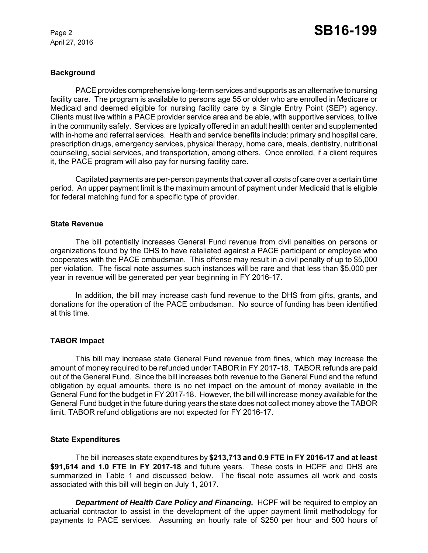#### **Background**

PACE provides comprehensive long-term services and supports as an alternative to nursing facility care. The program is available to persons age 55 or older who are enrolled in Medicare or Medicaid and deemed eligible for nursing facility care by a Single Entry Point (SEP) agency. Clients must live within a PACE provider service area and be able, with supportive services, to live in the community safely. Services are typically offered in an adult health center and supplemented with in-home and referral services. Health and service benefits include: primary and hospital care, prescription drugs, emergency services, physical therapy, home care, meals, dentistry, nutritional counseling, social services, and transportation, among others. Once enrolled, if a client requires it, the PACE program will also pay for nursing facility care.

Capitated payments are per-person payments that cover all costs of care over a certain time period. An upper payment limit is the maximum amount of payment under Medicaid that is eligible for federal matching fund for a specific type of provider.

#### **State Revenue**

The bill potentially increases General Fund revenue from civil penalties on persons or organizations found by the DHS to have retaliated against a PACE participant or employee who cooperates with the PACE ombudsman. This offense may result in a civil penalty of up to \$5,000 per violation. The fiscal note assumes such instances will be rare and that less than \$5,000 per year in revenue will be generated per year beginning in FY 2016-17.

In addition, the bill may increase cash fund revenue to the DHS from gifts, grants, and donations for the operation of the PACE ombudsman. No source of funding has been identified at this time.

#### **TABOR Impact**

This bill may increase state General Fund revenue from fines, which may increase the amount of money required to be refunded under TABOR in FY 2017-18. TABOR refunds are paid out of the General Fund. Since the bill increases both revenue to the General Fund and the refund obligation by equal amounts, there is no net impact on the amount of money available in the General Fund for the budget in FY 2017-18. However, the bill will increase money available for the General Fund budget in the future during years the state does not collect money above the TABOR limit. TABOR refund obligations are not expected for FY 2016-17.

#### **State Expenditures**

The bill increases state expenditures by **\$213,713 and 0.9 FTE in FY 2016-17 and at least \$91,614 and 1.0 FTE in FY 2017-18** and future years. These costs in HCPF and DHS are summarized in Table 1 and discussed below. The fiscal note assumes all work and costs associated with this bill will begin on July 1, 2017.

**Department of Health Care Policy and Financing.** HCPF will be required to employ an actuarial contractor to assist in the development of the upper payment limit methodology for payments to PACE services. Assuming an hourly rate of \$250 per hour and 500 hours of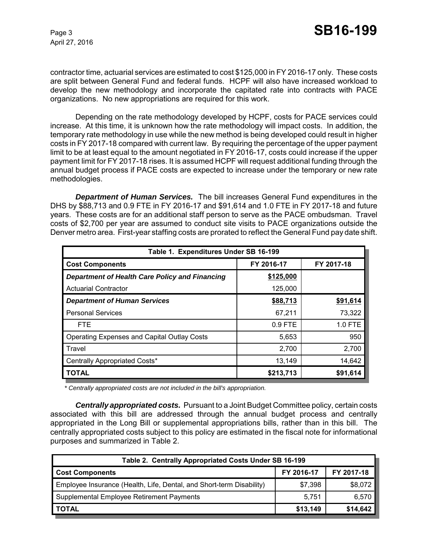contractor time, actuarial services are estimated to cost \$125,000 in FY 2016-17 only. These costs are split between General Fund and federal funds. HCPF will also have increased workload to develop the new methodology and incorporate the capitated rate into contracts with PACE organizations. No new appropriations are required for this work.

Depending on the rate methodology developed by HCPF, costs for PACE services could increase. At this time, it is unknown how the rate methodology will impact costs. In addition, the temporary rate methodology in use while the new method is being developed could result in higher costs in FY 2017-18 compared with current law. By requiring the percentage of the upper payment limit to be at least equal to the amount negotiated in FY 2016-17, costs could increase if the upper payment limit for FY 2017-18 rises. It is assumed HCPF will request additional funding through the annual budget process if PACE costs are expected to increase under the temporary or new rate methodologies.

*Department of Human Services.* The bill increases General Fund expenditures in the DHS by \$88,713 and 0.9 FTE in FY 2016-17 and \$91,614 and 1.0 FTE in FY 2017-18 and future years. These costs are for an additional staff person to serve as the PACE ombudsman. Travel costs of \$2,700 per year are assumed to conduct site visits to PACE organizations outside the Denver metro area. First-year staffing costs are prorated to reflect the General Fund pay date shift.

| Table 1. Expenditures Under SB 16-199              |            |            |  |  |  |
|----------------------------------------------------|------------|------------|--|--|--|
| <b>Cost Components</b>                             | FY 2016-17 | FY 2017-18 |  |  |  |
| Department of Health Care Policy and Financing     | \$125,000  |            |  |  |  |
| <b>Actuarial Contractor</b>                        | 125,000    |            |  |  |  |
| <b>Department of Human Services</b>                | \$88,713   | \$91,614   |  |  |  |
| <b>Personal Services</b>                           | 67,211     | 73,322     |  |  |  |
| <b>FTE</b>                                         | 0.9 FTE    | 1.0 FTE    |  |  |  |
| <b>Operating Expenses and Capital Outlay Costs</b> | 5,653      | 950        |  |  |  |
| Travel                                             | 2,700      | 2,700      |  |  |  |
| Centrally Appropriated Costs*                      | 13,149     | 14,642     |  |  |  |
| ΤΟΤΑL                                              | \$213,713  | \$91,614   |  |  |  |

 *\* Centrally appropriated costs are not included in the bill's appropriation.*

*Centrally appropriated costs.* Pursuant to a Joint Budget Committee policy, certain costs associated with this bill are addressed through the annual budget process and centrally appropriated in the Long Bill or supplemental appropriations bills, rather than in this bill. The centrally appropriated costs subject to this policy are estimated in the fiscal note for informational purposes and summarized in Table 2.

| Table 2. Centrally Appropriated Costs Under SB 16-199                |            |            |  |  |  |
|----------------------------------------------------------------------|------------|------------|--|--|--|
| <b>Cost Components</b>                                               | FY 2016-17 | FY 2017-18 |  |  |  |
| Employee Insurance (Health, Life, Dental, and Short-term Disability) | \$7,398    | \$8,072    |  |  |  |
| Supplemental Employee Retirement Payments                            | 5.751      | 6,570      |  |  |  |
| <b>TOTAL</b>                                                         | \$13,149   | \$14,642   |  |  |  |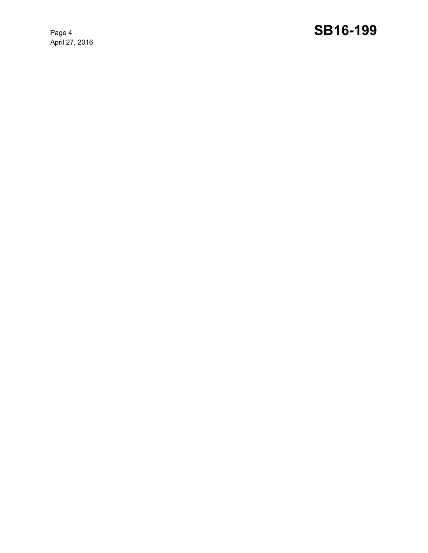# Page 4 **SB16-199**